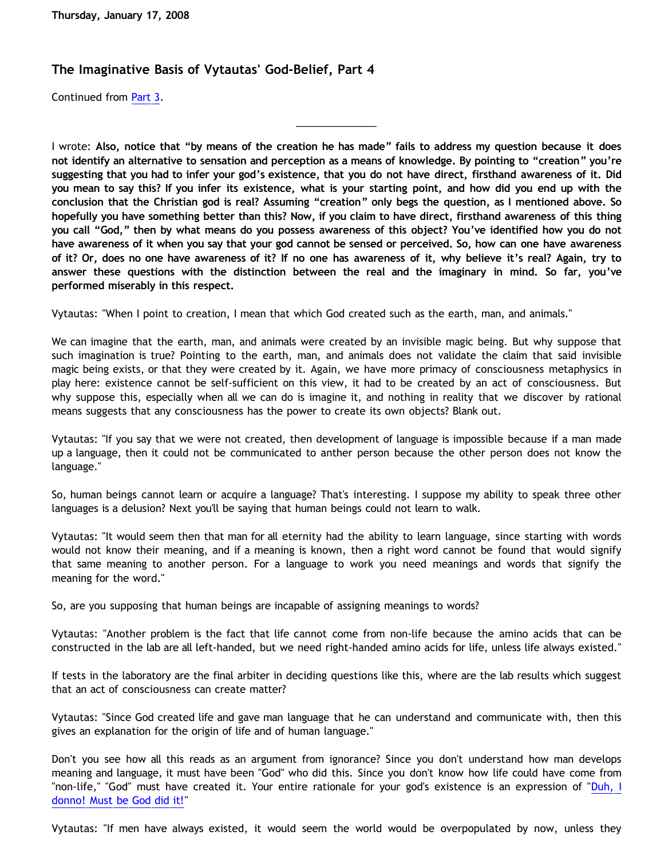## **The Imaginative Basis of Vytautas' God-Belief, Part 4**

Continued from [Part 3.](http://bahnsenburner.blogspot.com/2008/01/imaginative-basis-of-vytautas-god_14.html)

I wrote: **Also, notice that "by means of the creation he has made" fails to address my question because it does not identify an alternative to sensation and perception as a means of knowledge. By pointing to "creation" you're suggesting that you had to infer your god's existence, that you do not have direct, firsthand awareness of it. Did you mean to say this? If you infer its existence, what is your starting point, and how did you end up with the conclusion that the Christian god is real? Assuming "creation" only begs the question, as I mentioned above. So hopefully you have something better than this? Now, if you claim to have direct, firsthand awareness of this thing you call "God," then by what means do you possess awareness of this object? You've identified how you do not have awareness of it when you say that your god cannot be sensed or perceived. So, how can one have awareness of it? Or, does no one have awareness of it? If no one has awareness of it, why believe it's real? Again, try to answer these questions with the distinction between the real and the imaginary in mind. So far, you've performed miserably in this respect.**

\_\_\_\_\_\_\_\_\_\_\_\_\_\_\_

Vytautas: "When I point to creation, I mean that which God created such as the earth, man, and animals."

We can imagine that the earth, man, and animals were created by an invisible magic being. But why suppose that such imagination is true? Pointing to the earth, man, and animals does not validate the claim that said invisible magic being exists, or that they were created by it. Again, we have more primacy of consciousness metaphysics in play here: existence cannot be self-sufficient on this view, it had to be created by an act of consciousness. But why suppose this, especially when all we can do is imagine it, and nothing in reality that we discover by rational means suggests that any consciousness has the power to create its own objects? Blank out.

Vytautas: "If you say that we were not created, then development of language is impossible because if a man made up a language, then it could not be communicated to anther person because the other person does not know the language."

So, human beings cannot learn or acquire a language? That's interesting. I suppose my ability to speak three other languages is a delusion? Next you'll be saying that human beings could not learn to walk.

Vytautas: "It would seem then that man for all eternity had the ability to learn language, since starting with words would not know their meaning, and if a meaning is known, then a right word cannot be found that would signify that same meaning to another person. For a language to work you need meanings and words that signify the meaning for the word."

So, are you supposing that human beings are incapable of assigning meanings to words?

Vytautas: "Another problem is the fact that life cannot come from non-life because the amino acids that can be constructed in the lab are all left-handed, but we need right-handed amino acids for life, unless life always existed."

If tests in the laboratory are the final arbiter in deciding questions like this, where are the lab results which suggest that an act of consciousness can create matter?

Vytautas: "Since God created life and gave man language that he can understand and communicate with, then this gives an explanation for the origin of life and of human language."

Don't you see how all this reads as an argument from ignorance? Since you don't understand how man develops meaning and language, it must have been "God" who did this. Since you don't know how life could have come from "non-life," "God" must have created it. Your entire rationale for your god's existence is an expression of "[Duh, I](http://www.geocities.com/katholon/duh15.wav) [donno! Must be God did it!](http://www.geocities.com/katholon/duh15.wav)"

Vytautas: "If men have always existed, it would seem the world would be overpopulated by now, unless they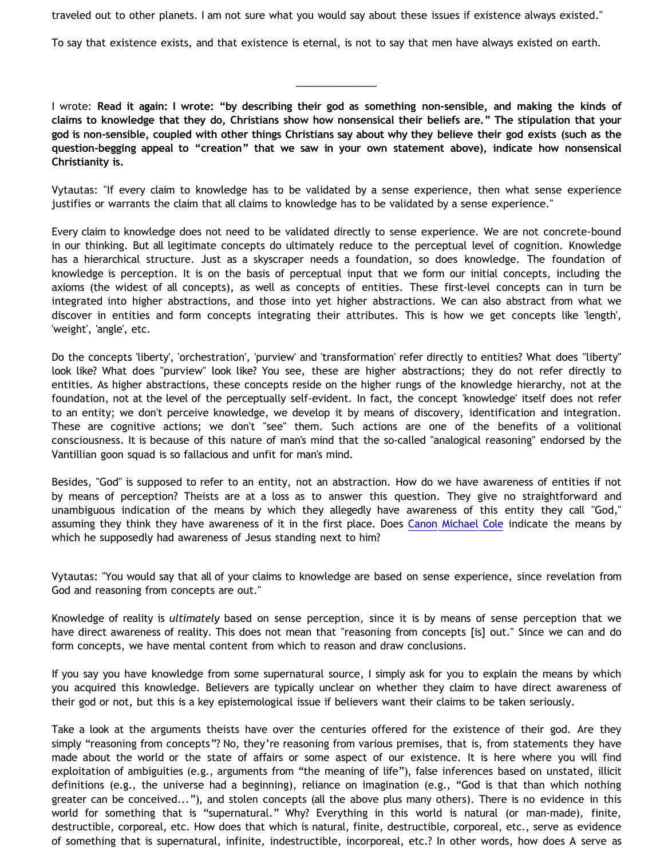traveled out to other planets. I am not sure what you would say about these issues if existence always existed."

To say that existence exists, and that existence is eternal, is not to say that men have always existed on earth.

I wrote: **Read it again: I wrote: "by describing their god as something non-sensible, and making the kinds of claims to knowledge that they do, Christians show how nonsensical their beliefs are." The stipulation that your god is non-sensible, coupled with other things Christians say about why they believe their god exists (such as the question-begging appeal to "creation" that we saw in your own statement above), indicate how nonsensical Christianity is.**

\_\_\_\_\_\_\_\_\_\_\_\_\_\_\_

Vytautas: "If every claim to knowledge has to be validated by a sense experience, then what sense experience justifies or warrants the claim that all claims to knowledge has to be validated by a sense experience."

Every claim to knowledge does not need to be validated directly to sense experience. We are not concrete-bound in our thinking. But all legitimate concepts do ultimately reduce to the perceptual level of cognition. Knowledge has a hierarchical structure. Just as a skyscraper needs a foundation, so does knowledge. The foundation of knowledge is perception. It is on the basis of perceptual input that we form our initial concepts, including the axioms (the widest of all concepts), as well as concepts of entities. These first-level concepts can in turn be integrated into higher abstractions, and those into yet higher abstractions. We can also abstract from what we discover in entities and form concepts integrating their attributes. This is how we get concepts like 'length', 'weight', 'angle', etc.

Do the concepts 'liberty', 'orchestration', 'purview' and 'transformation' refer directly to entities? What does "liberty" look like? What does "purview" look like? You see, these are higher abstractions; they do not refer directly to entities. As higher abstractions, these concepts reside on the higher rungs of the knowledge hierarchy, not at the foundation, not at the level of the perceptually self-evident. In fact, the concept 'knowledge' itself does not refer to an entity; we don't perceive knowledge, we develop it by means of discovery, identification and integration. These are cognitive actions; we don't "see" them. Such actions are one of the benefits of a volitional consciousness. It is because of this nature of man's mind that the so-called "analogical reasoning" endorsed by the Vantillian goon squad is so fallacious and unfit for man's mind.

Besides, "God" is supposed to refer to an entity, not an abstraction. How do we have awareness of entities if not by means of perception? Theists are at a loss as to answer this question. They give no straightforward and unambiguous indication of the means by which they allegedly have awareness of this entity they call "God," assuming they think they have awareness of it in the first place. Does [Canon Michael Cole](http://bahnsenburner.blogspot.com/2006/06/carr-vs-cole.html) indicate the means by which he supposedly had awareness of Jesus standing next to him?

Vytautas: "You would say that all of your claims to knowledge are based on sense experience, since revelation from God and reasoning from concepts are out."

Knowledge of reality is *ultimately* based on sense perception, since it is by means of sense perception that we have direct awareness of reality. This does not mean that "reasoning from concepts [is] out." Since we can and do form concepts, we have mental content from which to reason and draw conclusions.

If you say you have knowledge from some supernatural source, I simply ask for you to explain the means by which you acquired this knowledge. Believers are typically unclear on whether they claim to have direct awareness of their god or not, but this is a key epistemological issue if believers want their claims to be taken seriously.

Take a look at the arguments theists have over the centuries offered for the existence of their god. Are they simply "reasoning from concepts"? No, they're reasoning from various premises, that is, from statements they have made about the world or the state of affairs or some aspect of our existence. It is here where you will find exploitation of ambiguities (e.g., arguments from "the meaning of life"), false inferences based on unstated, illicit definitions (e.g., the universe had a beginning), reliance on imagination (e.g., "God is that than which nothing greater can be conceived..."), and stolen concepts (all the above plus many others). There is no evidence in this world for something that is "supernatural." Why? Everything in this world is natural (or man-made), finite, destructible, corporeal, etc. How does that which is natural, finite, destructible, corporeal, etc., serve as evidence of something that is supernatural, infinite, indestructible, incorporeal, etc.? In other words, how does A serve as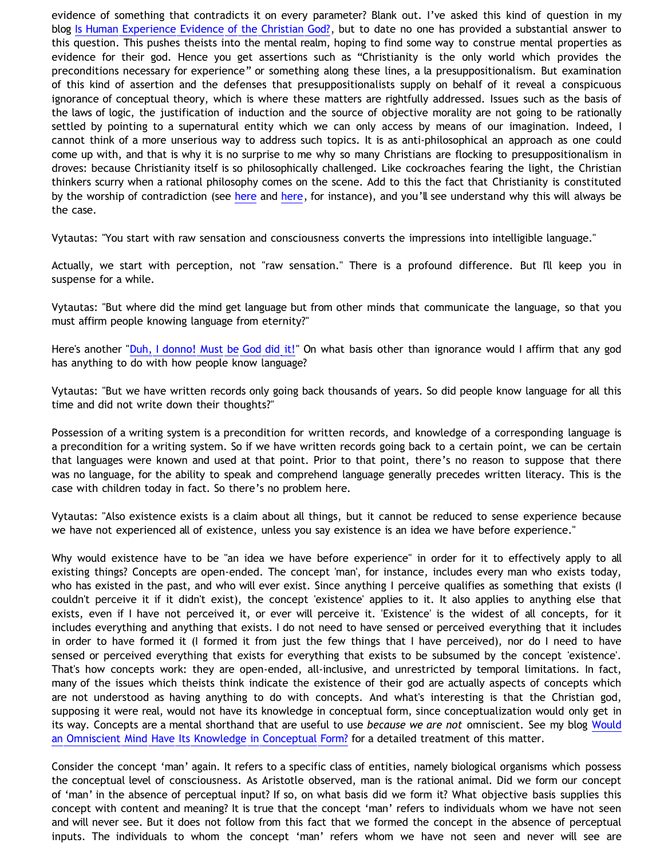evidence of something that contradicts it on every parameter? Blank out. I've asked this kind of question in my blog [Is Human Experience Evidence of the Christian God?](http://bahnsenburner.blogspot.com/2005/06/is-human-experience-evidence-of.html), but to date no one has provided a substantial answer to this question. This pushes theists into the mental realm, hoping to find some way to construe mental properties as evidence for their god. Hence you get assertions such as "Christianity is the only world which provides the preconditions necessary for experience" or something along these lines, a la presuppositionalism. But examination of this kind of assertion and the defenses that presuppositionalists supply on behalf of it reveal a conspicuous ignorance of conceptual theory, which is where these matters are rightfully addressed. Issues such as the basis of the laws of logic, the justification of induction and the source of objective morality are not going to be rationally settled by pointing to a supernatural entity which we can only access by means of our imagination. Indeed, I cannot think of a more unserious way to address such topics. It is as anti-philosophical an approach as one could come up with, and that is why it is no surprise to me why so many Christians are flocking to presuppositionalism in droves: because Christianity itself is so philosophically challenged. Like cockroaches fearing the light, the Christian thinkers scurry when a rational philosophy comes on the scene. Add to this the fact that Christianity is constituted by the worship of contradiction (see [here](http://bahnsenburner.blogspot.com/2005/08/christianity-as-worship-of-self.html) and [here](http://bahnsenburner.blogspot.com/2005/08/christ-jesus-still-jumble-of.html), for instance), and you'll see understand why this will always be the case.

Vytautas: "You start with raw sensation and consciousness converts the impressions into intelligible language."

Actually, we start with perception, not "raw sensation." There is a profound difference. But I'll keep you in suspense for a while.

Vytautas: "But where did the mind get language but from other minds that communicate the language, so that you must affirm people knowing language from eternity?"

Here's another "[Duh, I donno! Must be God did it!](http://www.geocities.com/katholon/duh15.wav)" On what basis other than ignorance would I affirm that any god has anything to do with how people know language?

Vytautas: "But we have written records only going back thousands of years. So did people know language for all this time and did not write down their thoughts?"

Possession of a writing system is a precondition for written records, and knowledge of a corresponding language is a precondition for a writing system. So if we have written records going back to a certain point, we can be certain that languages were known and used at that point. Prior to that point, there's no reason to suppose that there was no language, for the ability to speak and comprehend language generally precedes written literacy. This is the case with children today in fact. So there's no problem here.

Vytautas: "Also existence exists is a claim about all things, but it cannot be reduced to sense experience because we have not experienced all of existence, unless you say existence is an idea we have before experience."

Why would existence have to be "an idea we have before experience" in order for it to effectively apply to all existing things? Concepts are open-ended. The concept 'man', for instance, includes every man who exists today, who has existed in the past, and who will ever exist. Since anything I perceive qualifies as something that exists (I couldn't perceive it if it didn't exist), the concept 'existence' applies to it. It also applies to anything else that exists, even if I have not perceived it, or ever will perceive it. 'Existence' is the widest of all concepts, for it includes everything and anything that exists. I do not need to have sensed or perceived everything that it includes in order to have formed it (I formed it from just the few things that I have perceived), nor do I need to have sensed or perceived everything that exists for everything that exists to be subsumed by the concept 'existence'. That's how concepts work: they are open-ended, all-inclusive, and unrestricted by temporal limitations. In fact, many of the issues which theists think indicate the existence of their god are actually aspects of concepts which are not understood as having anything to do with concepts. And what's interesting is that the Christian god, supposing it were real, would not have its knowledge in conceptual form, since conceptualization would only get in its way. Concepts are a mental shorthand that are useful to use *because we are not* omniscient. See my blog [Would](http://bahnsenburner.blogspot.com/2007/04/would-omniscient-mind-have-knowledge-in.html) [an Omniscient Mind Have Its Knowledge in Conceptual Form?](http://bahnsenburner.blogspot.com/2007/04/would-omniscient-mind-have-knowledge-in.html) for a detailed treatment of this matter.

Consider the concept 'man' again. It refers to a specific class of entities, namely biological organisms which possess the conceptual level of consciousness. As Aristotle observed, man is the rational animal. Did we form our concept of 'man' in the absence of perceptual input? If so, on what basis did we form it? What objective basis supplies this concept with content and meaning? It is true that the concept 'man' refers to individuals whom we have not seen and will never see. But it does not follow from this fact that we formed the concept in the absence of perceptual inputs. The individuals to whom the concept 'man' refers whom we have not seen and never will see are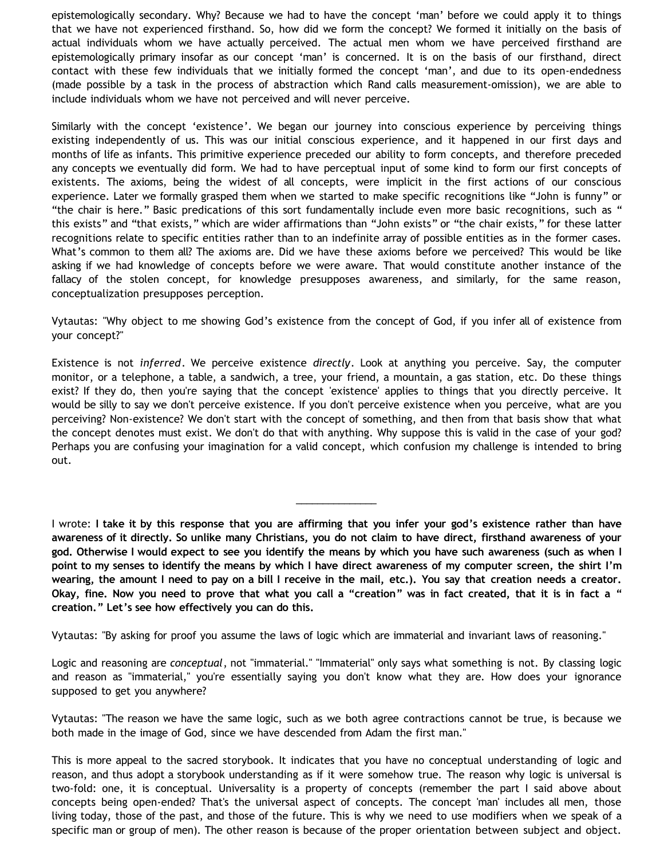epistemologically secondary. Why? Because we had to have the concept 'man' before we could apply it to things that we have not experienced firsthand. So, how did we form the concept? We formed it initially on the basis of actual individuals whom we have actually perceived. The actual men whom we have perceived firsthand are epistemologically primary insofar as our concept 'man' is concerned. It is on the basis of our firsthand, direct contact with these few individuals that we initially formed the concept 'man', and due to its open-endedness (made possible by a task in the process of abstraction which Rand calls measurement-omission), we are able to include individuals whom we have not perceived and will never perceive.

Similarly with the concept 'existence'. We began our journey into conscious experience by perceiving things existing independently of us. This was our initial conscious experience, and it happened in our first days and months of life as infants. This primitive experience preceded our ability to form concepts, and therefore preceded any concepts we eventually did form. We had to have perceptual input of some kind to form our first concepts of existents. The axioms, being the widest of all concepts, were implicit in the first actions of our conscious experience. Later we formally grasped them when we started to make specific recognitions like "John is funny" or "the chair is here." Basic predications of this sort fundamentally include even more basic recognitions, such as " this exists" and "that exists," which are wider affirmations than "John exists" or "the chair exists," for these latter recognitions relate to specific entities rather than to an indefinite array of possible entities as in the former cases. What's common to them all? The axioms are. Did we have these axioms before we perceived? This would be like asking if we had knowledge of concepts before we were aware. That would constitute another instance of the fallacy of the stolen concept, for knowledge presupposes awareness, and similarly, for the same reason, conceptualization presupposes perception.

Vytautas: "Why object to me showing God's existence from the concept of God, if you infer all of existence from your concept?"

Existence is not *inferred*. We perceive existence *directly*. Look at anything you perceive. Say, the computer monitor, or a telephone, a table, a sandwich, a tree, your friend, a mountain, a gas station, etc. Do these things exist? If they do, then you're saying that the concept 'existence' applies to things that you directly perceive. It would be silly to say we don't perceive existence. If you don't perceive existence when you perceive, what are you perceiving? Non-existence? We don't start with the concept of something, and then from that basis show that what the concept denotes must exist. We don't do that with anything. Why suppose this is valid in the case of your god? Perhaps you are confusing your imagination for a valid concept, which confusion my challenge is intended to bring out.

I wrote: **I take it by this response that you are affirming that you infer your god's existence rather than have awareness of it directly. So unlike many Christians, you do not claim to have direct, firsthand awareness of your god. Otherwise I would expect to see you identify the means by which you have such awareness (such as when I point to my senses to identify the means by which I have direct awareness of my computer screen, the shirt I'm wearing, the amount I need to pay on a bill I receive in the mail, etc.). You say that creation needs a creator. Okay, fine. Now you need to prove that what you call a "creation" was in fact created, that it is in fact a " creation." Let's see how effectively you can do this.**

\_\_\_\_\_\_\_\_\_\_\_\_\_\_\_

Vytautas: "By asking for proof you assume the laws of logic which are immaterial and invariant laws of reasoning."

Logic and reasoning are *conceptual*, not "immaterial." "Immaterial" only says what something is not. By classing logic and reason as "immaterial," you're essentially saying you don't know what they are. How does your ignorance supposed to get you anywhere?

Vytautas: "The reason we have the same logic, such as we both agree contractions cannot be true, is because we both made in the image of God, since we have descended from Adam the first man."

This is more appeal to the sacred storybook. It indicates that you have no conceptual understanding of logic and reason, and thus adopt a storybook understanding as if it were somehow true. The reason why logic is universal is two-fold: one, it is conceptual. Universality is a property of concepts (remember the part I said above about concepts being open-ended? That's the universal aspect of concepts. The concept 'man' includes all men, those living today, those of the past, and those of the future. This is why we need to use modifiers when we speak of a specific man or group of men). The other reason is because of the proper orientation between subject and object.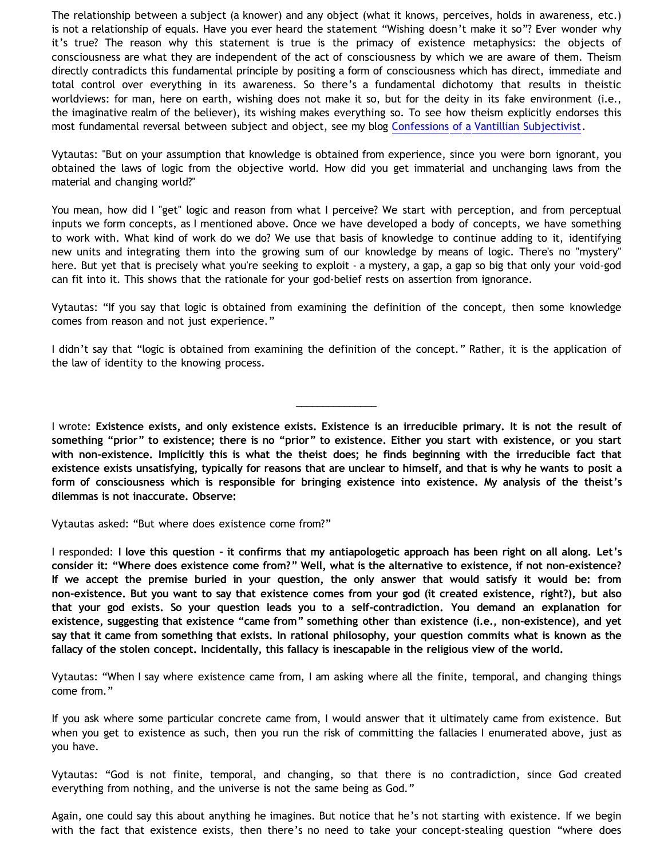The relationship between a subject (a knower) and any object (what it knows, perceives, holds in awareness, etc.) is not a relationship of equals. Have you ever heard the statement "Wishing doesn't make it so"? Ever wonder why it's true? The reason why this statement is true is the primacy of existence metaphysics: the objects of consciousness are what they are independent of the act of consciousness by which we are aware of them. Theism directly contradicts this fundamental principle by positing a form of consciousness which has direct, immediate and total control over everything in its awareness. So there's a fundamental dichotomy that results in theistic worldviews: for man, here on earth, wishing does not make it so, but for the deity in its fake environment (i.e., the imaginative realm of the believer), its wishing makes everything so. To see how theism explicitly endorses this most fundamental reversal between subject and object, see my blog [Confessions of a Vantillian Subjectivist.](http://bahnsenburner.blogspot.com/2006/03/confessions-of-vantillian-subjectivist.html)

Vytautas: "But on your assumption that knowledge is obtained from experience, since you were born ignorant, you obtained the laws of logic from the objective world. How did you get immaterial and unchanging laws from the material and changing world?"

You mean, how did I "get" logic and reason from what I perceive? We start with perception, and from perceptual inputs we form concepts, as I mentioned above. Once we have developed a body of concepts, we have something to work with. What kind of work do we do? We use that basis of knowledge to continue adding to it, identifying new units and integrating them into the growing sum of our knowledge by means of logic. There's no "mystery" here. But yet that is precisely what you're seeking to exploit - a mystery, a gap, a gap so big that only your void-god can fit into it. This shows that the rationale for your god-belief rests on assertion from ignorance.

Vytautas: "If you say that logic is obtained from examining the definition of the concept, then some knowledge comes from reason and not just experience."

I didn't say that "logic is obtained from examining the definition of the concept." Rather, it is the application of the law of identity to the knowing process.

\_\_\_\_\_\_\_\_\_\_\_\_\_\_\_

I wrote: **Existence exists, and only existence exists. Existence is an irreducible primary. It is not the result of something "prior" to existence; there is no "prior" to existence. Either you start with existence, or you start with non-existence. Implicitly this is what the theist does; he finds beginning with the irreducible fact that existence exists unsatisfying, typically for reasons that are unclear to himself, and that is why he wants to posit a form of consciousness which is responsible for bringing existence into existence. My analysis of the theist's dilemmas is not inaccurate. Observe:**

Vytautas asked: "But where does existence come from?"

I responded: **I love this question – it confirms that my antiapologetic approach has been right on all along. Let's consider it: "Where does existence come from?" Well, what is the alternative to existence, if not non-existence? If we accept the premise buried in your question, the only answer that would satisfy it would be: from non-existence. But you want to say that existence comes from your god (it created existence, right?), but also that your god exists. So your question leads you to a self-contradiction. You demand an explanation for existence, suggesting that existence "came from" something other than existence (i.e., non-existence), and yet say that it came from something that exists. In rational philosophy, your question commits what is known as the fallacy of the stolen concept. Incidentally, this fallacy is inescapable in the religious view of the world.**

Vytautas: "When I say where existence came from, I am asking where all the finite, temporal, and changing things come from."

If you ask where some particular concrete came from, I would answer that it ultimately came from existence. But when you get to existence as such, then you run the risk of committing the fallacies I enumerated above, just as you have.

Vytautas: "God is not finite, temporal, and changing, so that there is no contradiction, since God created everything from nothing, and the universe is not the same being as God."

Again, one could say this about anything he imagines. But notice that he's not starting with existence. If we begin with the fact that existence exists, then there's no need to take your concept-stealing question "where does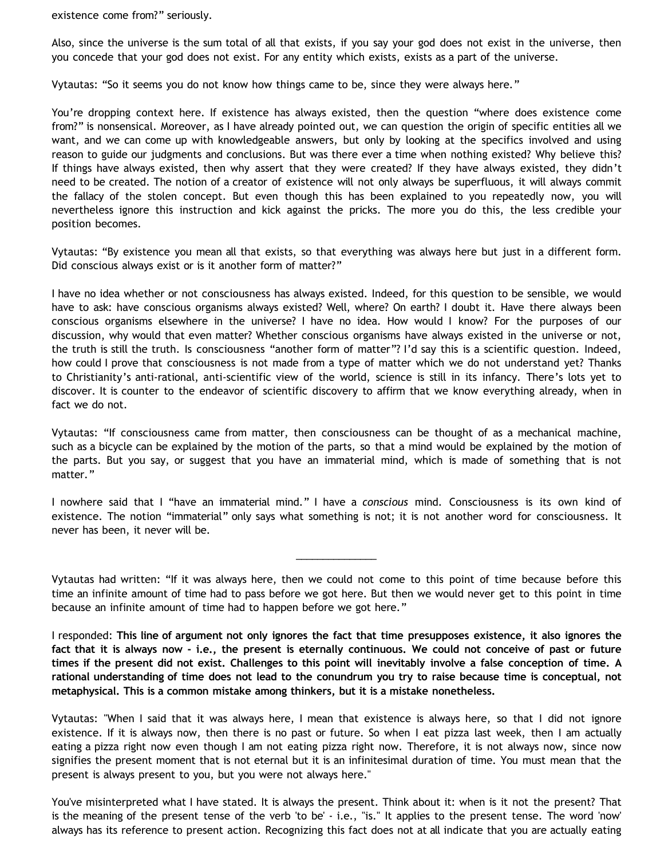existence come from?" seriously.

Also, since the universe is the sum total of all that exists, if you say your god does not exist in the universe, then you concede that your god does not exist. For any entity which exists, exists as a part of the universe.

Vytautas: "So it seems you do not know how things came to be, since they were always here."

You're dropping context here. If existence has always existed, then the question "where does existence come from?" is nonsensical. Moreover, as I have already pointed out, we can question the origin of specific entities all we want, and we can come up with knowledgeable answers, but only by looking at the specifics involved and using reason to guide our judgments and conclusions. But was there ever a time when nothing existed? Why believe this? If things have always existed, then why assert that they were created? If they have always existed, they didn't need to be created. The notion of a creator of existence will not only always be superfluous, it will always commit the fallacy of the stolen concept. But even though this has been explained to you repeatedly now, you will nevertheless ignore this instruction and kick against the pricks. The more you do this, the less credible your position becomes.

Vytautas: "By existence you mean all that exists, so that everything was always here but just in a different form. Did conscious always exist or is it another form of matter?"

I have no idea whether or not consciousness has always existed. Indeed, for this question to be sensible, we would have to ask: have conscious organisms always existed? Well, where? On earth? I doubt it. Have there always been conscious organisms elsewhere in the universe? I have no idea. How would I know? For the purposes of our discussion, why would that even matter? Whether conscious organisms have always existed in the universe or not, the truth is still the truth. Is consciousness "another form of matter"? I'd say this is a scientific question. Indeed, how could I prove that consciousness is not made from a type of matter which we do not understand yet? Thanks to Christianity's anti-rational, anti-scientific view of the world, science is still in its infancy. There's lots yet to discover. It is counter to the endeavor of scientific discovery to affirm that we know everything already, when in fact we do not.

Vytautas: "If consciousness came from matter, then consciousness can be thought of as a mechanical machine, such as a bicycle can be explained by the motion of the parts, so that a mind would be explained by the motion of the parts. But you say, or suggest that you have an immaterial mind, which is made of something that is not matter."

I nowhere said that I "have an immaterial mind." I have a *conscious* mind. Consciousness is its own kind of existence. The notion "immaterial" only says what something is not; it is not another word for consciousness. It never has been, it never will be.

Vytautas had written: "If it was always here, then we could not come to this point of time because before this time an infinite amount of time had to pass before we got here. But then we would never get to this point in time because an infinite amount of time had to happen before we got here."

\_\_\_\_\_\_\_\_\_\_\_\_\_\_\_

I responded: **This line of argument not only ignores the fact that time presupposes existence, it also ignores the fact that it is always now - i.e., the present is eternally continuous. We could not conceive of past or future times if the present did not exist. Challenges to this point will inevitably involve a false conception of time. A rational understanding of time does not lead to the conundrum you try to raise because time is conceptual, not metaphysical. This is a common mistake among thinkers, but it is a mistake nonetheless.**

Vytautas: "When I said that it was always here, I mean that existence is always here, so that I did not ignore existence. If it is always now, then there is no past or future. So when I eat pizza last week, then I am actually eating a pizza right now even though I am not eating pizza right now. Therefore, it is not always now, since now signifies the present moment that is not eternal but it is an infinitesimal duration of time. You must mean that the present is always present to you, but you were not always here."

You've misinterpreted what I have stated. It is always the present. Think about it: when is it not the present? That is the meaning of the present tense of the verb 'to be' - i.e., "is." It applies to the present tense. The word 'now' always has its reference to present action. Recognizing this fact does not at all indicate that you are actually eating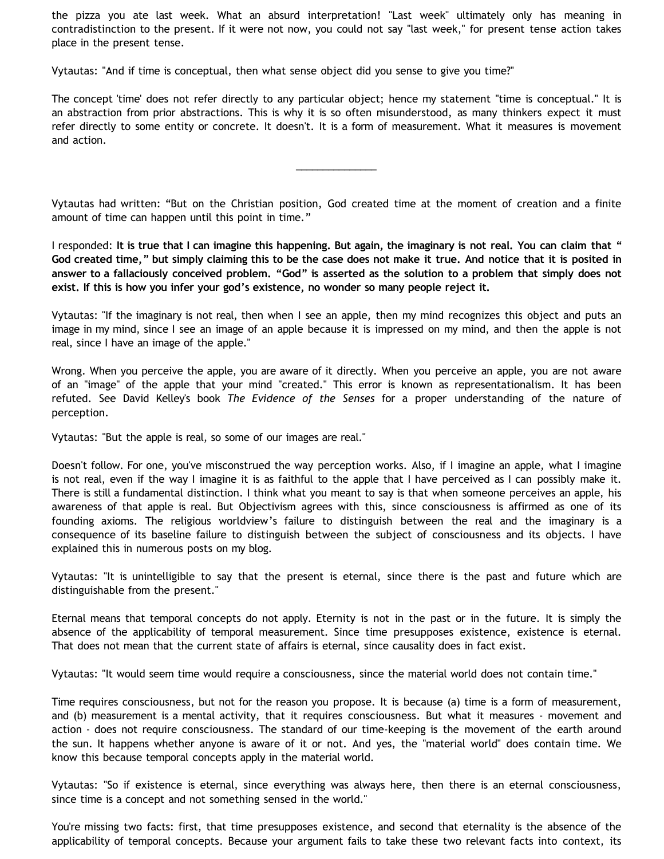the pizza you ate last week. What an absurd interpretation! "Last week" ultimately only has meaning in contradistinction to the present. If it were not now, you could not say "last week," for present tense action takes place in the present tense.

Vytautas: "And if time is conceptual, then what sense object did you sense to give you time?"

The concept 'time' does not refer directly to any particular object; hence my statement "time is conceptual." It is an abstraction from prior abstractions. This is why it is so often misunderstood, as many thinkers expect it must refer directly to some entity or concrete. It doesn't. It is a form of measurement. What it measures is movement and action.

Vytautas had written: "But on the Christian position, God created time at the moment of creation and a finite amount of time can happen until this point in time."

\_\_\_\_\_\_\_\_\_\_\_\_\_\_\_

I responded: **It is true that I can imagine this happening. But again, the imaginary is not real. You can claim that " God created time," but simply claiming this to be the case does not make it true. And notice that it is posited in answer to a fallaciously conceived problem. "God" is asserted as the solution to a problem that simply does not exist. If this is how you infer your god's existence, no wonder so many people reject it.**

Vytautas: "If the imaginary is not real, then when I see an apple, then my mind recognizes this object and puts an image in my mind, since I see an image of an apple because it is impressed on my mind, and then the apple is not real, since I have an image of the apple."

Wrong. When you perceive the apple, you are aware of it directly. When you perceive an apple, you are not aware of an "image" of the apple that your mind "created." This error is known as representationalism. It has been refuted. See David Kelley's book *The Evidence of the Senses* for a proper understanding of the nature of perception.

Vytautas: "But the apple is real, so some of our images are real."

Doesn't follow. For one, you've misconstrued the way perception works. Also, if I imagine an apple, what I imagine is not real, even if the way I imagine it is as faithful to the apple that I have perceived as I can possibly make it. There is still a fundamental distinction. I think what you meant to say is that when someone perceives an apple, his awareness of that apple is real. But Objectivism agrees with this, since consciousness is affirmed as one of its founding axioms. The religious worldview's failure to distinguish between the real and the imaginary is a consequence of its baseline failure to distinguish between the subject of consciousness and its objects. I have explained this in numerous posts on my blog.

Vytautas: "It is unintelligible to say that the present is eternal, since there is the past and future which are distinguishable from the present."

Eternal means that temporal concepts do not apply. Eternity is not in the past or in the future. It is simply the absence of the applicability of temporal measurement. Since time presupposes existence, existence is eternal. That does not mean that the current state of affairs is eternal, since causality does in fact exist.

Vytautas: "It would seem time would require a consciousness, since the material world does not contain time."

Time requires consciousness, but not for the reason you propose. It is because (a) time is a form of measurement, and (b) measurement is a mental activity, that it requires consciousness. But what it measures - movement and action - does not require consciousness. The standard of our time-keeping is the movement of the earth around the sun. It happens whether anyone is aware of it or not. And yes, the "material world" does contain time. We know this because temporal concepts apply in the material world.

Vytautas: "So if existence is eternal, since everything was always here, then there is an eternal consciousness, since time is a concept and not something sensed in the world."

You're missing two facts: first, that time presupposes existence, and second that eternality is the absence of the applicability of temporal concepts. Because your argument fails to take these two relevant facts into context, its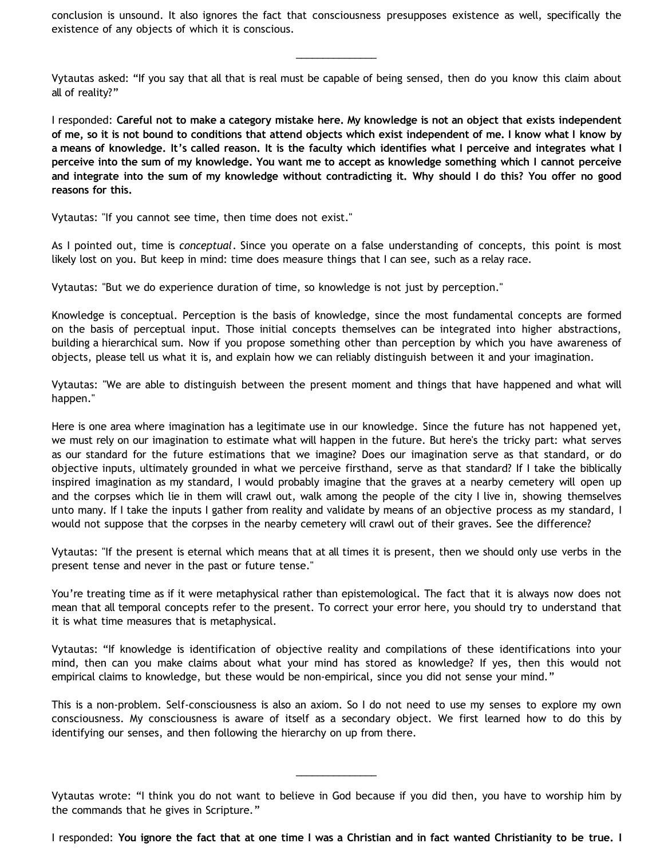conclusion is unsound. It also ignores the fact that consciousness presupposes existence as well, specifically the existence of any objects of which it is conscious.

\_\_\_\_\_\_\_\_\_\_\_\_\_\_\_

Vytautas asked: "If you say that all that is real must be capable of being sensed, then do you know this claim about all of reality?"

I responded: **Careful not to make a category mistake here. My knowledge is not an object that exists independent of me, so it is not bound to conditions that attend objects which exist independent of me. I know what I know by a means of knowledge. It's called reason. It is the faculty which identifies what I perceive and integrates what I perceive into the sum of my knowledge. You want me to accept as knowledge something which I cannot perceive and integrate into the sum of my knowledge without contradicting it. Why should I do this? You offer no good reasons for this.**

Vytautas: "If you cannot see time, then time does not exist."

As I pointed out, time is *conceptual*. Since you operate on a false understanding of concepts, this point is most likely lost on you. But keep in mind: time does measure things that I can see, such as a relay race.

Vytautas: "But we do experience duration of time, so knowledge is not just by perception."

Knowledge is conceptual. Perception is the basis of knowledge, since the most fundamental concepts are formed on the basis of perceptual input. Those initial concepts themselves can be integrated into higher abstractions, building a hierarchical sum. Now if you propose something other than perception by which you have awareness of objects, please tell us what it is, and explain how we can reliably distinguish between it and your imagination.

Vytautas: "We are able to distinguish between the present moment and things that have happened and what will happen."

Here is one area where imagination has a legitimate use in our knowledge. Since the future has not happened yet, we must rely on our imagination to estimate what will happen in the future. But here's the tricky part: what serves as our standard for the future estimations that we imagine? Does our imagination serve as that standard, or do objective inputs, ultimately grounded in what we perceive firsthand, serve as that standard? If I take the biblically inspired imagination as my standard, I would probably imagine that the graves at a nearby cemetery will open up and the corpses which lie in them will crawl out, walk among the people of the city I live in, showing themselves unto many. If I take the inputs I gather from reality and validate by means of an objective process as my standard, I would not suppose that the corpses in the nearby cemetery will crawl out of their graves. See the difference?

Vytautas: "If the present is eternal which means that at all times it is present, then we should only use verbs in the present tense and never in the past or future tense."

You're treating time as if it were metaphysical rather than epistemological. The fact that it is always now does not mean that all temporal concepts refer to the present. To correct your error here, you should try to understand that it is what time measures that is metaphysical.

Vytautas: "If knowledge is identification of objective reality and compilations of these identifications into your mind, then can you make claims about what your mind has stored as knowledge? If yes, then this would not empirical claims to knowledge, but these would be non-empirical, since you did not sense your mind."

This is a non-problem. Self-consciousness is also an axiom. So I do not need to use my senses to explore my own consciousness. My consciousness is aware of itself as a secondary object. We first learned how to do this by identifying our senses, and then following the hierarchy on up from there.

\_\_\_\_\_\_\_\_\_\_\_\_\_\_\_

I responded: **You ignore the fact that at one time I was a Christian and in fact wanted Christianity to be true. I**

Vytautas wrote: "I think you do not want to believe in God because if you did then, you have to worship him by the commands that he gives in Scripture."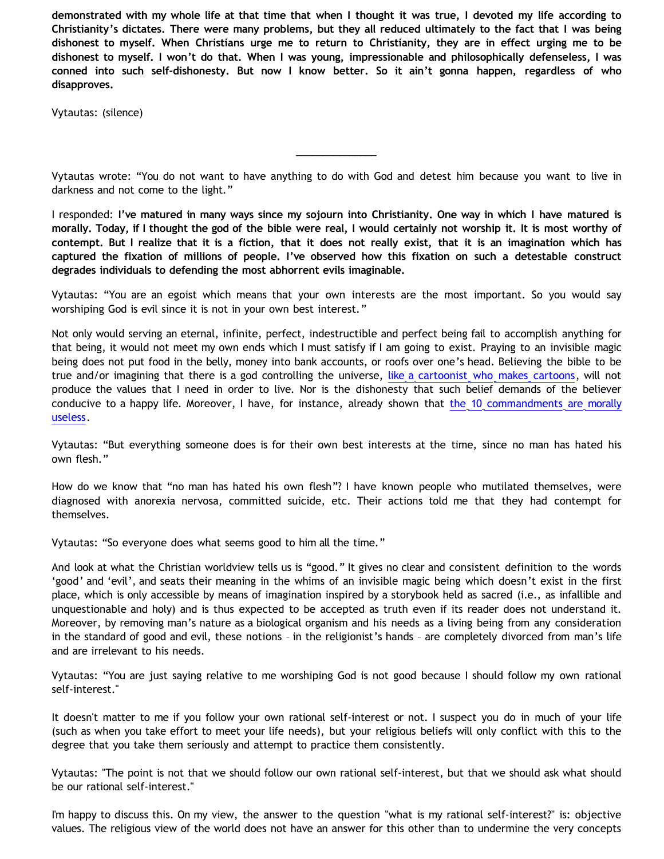**demonstrated with my whole life at that time that when I thought it was true, I devoted my life according to Christianity's dictates. There were many problems, but they all reduced ultimately to the fact that I was being dishonest to myself. When Christians urge me to return to Christianity, they are in effect urging me to be dishonest to myself. I won't do that. When I was young, impressionable and philosophically defenseless, I was conned into such self-dishonesty. But now I know better. So it ain't gonna happen, regardless of who disapproves.**

Vytautas: (silence)

Vytautas wrote: "You do not want to have anything to do with God and detest him because you want to live in darkness and not come to the light."

\_\_\_\_\_\_\_\_\_\_\_\_\_\_\_

I responded: **I've matured in many ways since my sojourn into Christianity. One way in which I have matured is morally. Today, if I thought the god of the bible were real, I would certainly not worship it. It is most worthy of contempt. But I realize that it is a fiction, that it does not really exist, that it is an imagination which has captured the fixation of millions of people. I've observed how this fixation on such a detestable construct degrades individuals to defending the most abhorrent evils imaginable.**

Vytautas: "You are an egoist which means that your own interests are the most important. So you would say worshiping God is evil since it is not in your own best interest."

Not only would serving an eternal, infinite, perfect, indestructible and perfect being fail to accomplish anything for that being, it would not meet my own ends which I must satisfy if I am going to exist. Praying to an invisible magic being does not put food in the belly, money into bank accounts, or roofs over one's head. Believing the bible to be true and/or imagining that there is a god controlling the universe, [like a cartoonist who makes cartoons](http://www.strongatheism.net/library/atheology/cartoon_universe_of_theism/), will not produce the values that I need in order to live. Nor is the dishonesty that such belief demands of the believer conducive to a happy life. Moreover, I have, for instance, already shown that [the 10 commandments are morally](http://bahnsenburner.blogspot.com/2007/05/moral-uselessness-of-10-commandments.html) [useless.](http://bahnsenburner.blogspot.com/2007/05/moral-uselessness-of-10-commandments.html)

Vytautas: "But everything someone does is for their own best interests at the time, since no man has hated his own flesh."

How do we know that "no man has hated his own flesh"? I have known people who mutilated themselves, were diagnosed with anorexia nervosa, committed suicide, etc. Their actions told me that they had contempt for themselves.

Vytautas: "So everyone does what seems good to him all the time."

And look at what the Christian worldview tells us is "good." It gives no clear and consistent definition to the words 'good' and 'evil', and seats their meaning in the whims of an invisible magic being which doesn't exist in the first place, which is only accessible by means of imagination inspired by a storybook held as sacred (i.e., as infallible and unquestionable and holy) and is thus expected to be accepted as truth even if its reader does not understand it. Moreover, by removing man's nature as a biological organism and his needs as a living being from any consideration in the standard of good and evil, these notions – in the religionist's hands – are completely divorced from man's life and are irrelevant to his needs.

Vytautas: "You are just saying relative to me worshiping God is not good because I should follow my own rational self-interest."

It doesn't matter to me if you follow your own rational self-interest or not. I suspect you do in much of your life (such as when you take effort to meet your life needs), but your religious beliefs will only conflict with this to the degree that you take them seriously and attempt to practice them consistently.

Vytautas: "The point is not that we should follow our own rational self-interest, but that we should ask what should be our rational self-interest."

I'm happy to discuss this. On my view, the answer to the question "what is my rational self-interest?" is: objective values. The religious view of the world does not have an answer for this other than to undermine the very concepts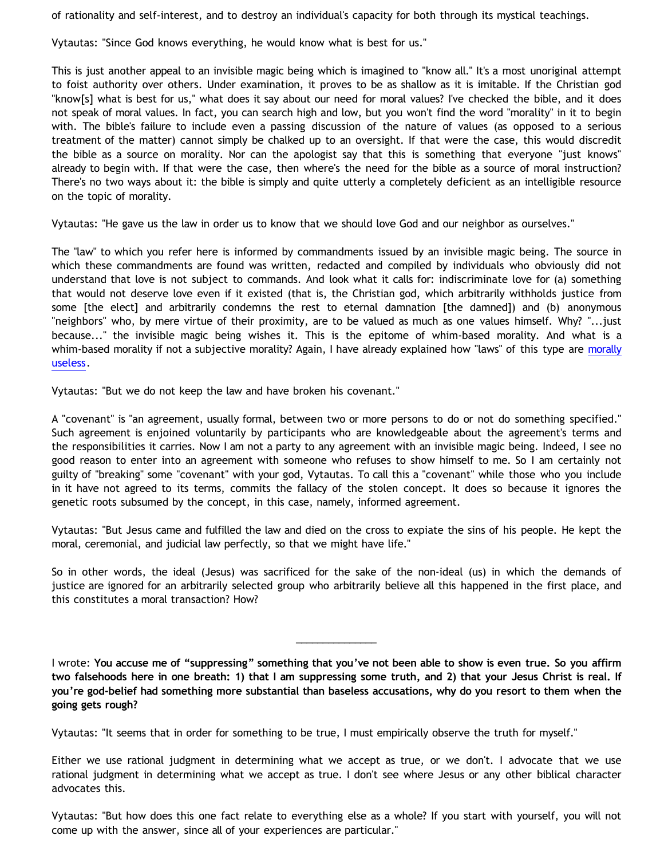of rationality and self-interest, and to destroy an individual's capacity for both through its mystical teachings.

Vytautas: "Since God knows everything, he would know what is best for us."

This is just another appeal to an invisible magic being which is imagined to "know all." It's a most unoriginal attempt to foist authority over others. Under examination, it proves to be as shallow as it is imitable. If the Christian god "know[s] what is best for us," what does it say about our need for moral values? I've checked the bible, and it does not speak of moral values. In fact, you can search high and low, but you won't find the word "morality" in it to begin with. The bible's failure to include even a passing discussion of the nature of values (as opposed to a serious treatment of the matter) cannot simply be chalked up to an oversight. If that were the case, this would discredit the bible as a source on morality. Nor can the apologist say that this is something that everyone "just knows" already to begin with. If that were the case, then where's the need for the bible as a source of moral instruction? There's no two ways about it: the bible is simply and quite utterly a completely deficient as an intelligible resource on the topic of morality.

Vytautas: "He gave us the law in order us to know that we should love God and our neighbor as ourselves."

The "law" to which you refer here is informed by commandments issued by an invisible magic being. The source in which these commandments are found was written, redacted and compiled by individuals who obviously did not understand that love is not subject to commands. And look what it calls for: indiscriminate love for (a) something that would not deserve love even if it existed (that is, the Christian god, which arbitrarily withholds justice from some [the elect] and arbitrarily condemns the rest to eternal damnation [the damned]) and (b) anonymous "neighbors" who, by mere virtue of their proximity, are to be valued as much as one values himself. Why? "...just because..." the invisible magic being wishes it. This is the epitome of whim-based morality. And what is a whim-based morality if not a subjective morality? Again, I have already explained how "laws" of this type are [morally](http://bahnsenburner.blogspot.com/2007/05/moral-uselessness-of-10-commandments.html) [useless.](http://bahnsenburner.blogspot.com/2007/05/moral-uselessness-of-10-commandments.html)

Vytautas: "But we do not keep the law and have broken his covenant."

A "covenant" is "an agreement, usually formal, between two or more persons to do or not do something specified." Such agreement is enjoined voluntarily by participants who are knowledgeable about the agreement's terms and the responsibilities it carries. Now I am not a party to any agreement with an invisible magic being. Indeed, I see no good reason to enter into an agreement with someone who refuses to show himself to me. So I am certainly not guilty of "breaking" some "covenant" with your god, Vytautas. To call this a "covenant" while those who you include in it have not agreed to its terms, commits the fallacy of the stolen concept. It does so because it ignores the genetic roots subsumed by the concept, in this case, namely, informed agreement.

Vytautas: "But Jesus came and fulfilled the law and died on the cross to expiate the sins of his people. He kept the moral, ceremonial, and judicial law perfectly, so that we might have life."

So in other words, the ideal (Jesus) was sacrificed for the sake of the non-ideal (us) in which the demands of justice are ignored for an arbitrarily selected group who arbitrarily believe all this happened in the first place, and this constitutes a moral transaction? How?

I wrote: **You accuse me of "suppressing" something that you've not been able to show is even true. So you affirm two falsehoods here in one breath: 1) that I am suppressing some truth, and 2) that your Jesus Christ is real. If you're god-belief had something more substantial than baseless accusations, why do you resort to them when the going gets rough?**

\_\_\_\_\_\_\_\_\_\_\_\_\_\_\_

Vytautas: "It seems that in order for something to be true, I must empirically observe the truth for myself."

Either we use rational judgment in determining what we accept as true, or we don't. I advocate that we use rational judgment in determining what we accept as true. I don't see where Jesus or any other biblical character advocates this.

Vytautas: "But how does this one fact relate to everything else as a whole? If you start with yourself, you will not come up with the answer, since all of your experiences are particular."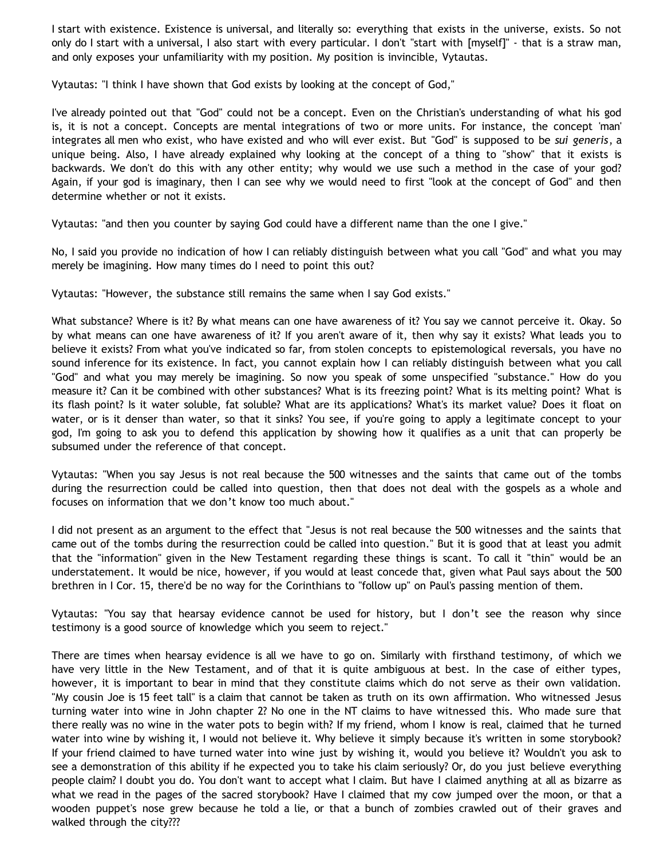I start with existence. Existence is universal, and literally so: everything that exists in the universe, exists. So not only do I start with a universal, I also start with every particular. I don't "start with [myself]" - that is a straw man, and only exposes your unfamiliarity with my position. My position is invincible, Vytautas.

Vytautas: "I think I have shown that God exists by looking at the concept of God,"

I've already pointed out that "God" could not be a concept. Even on the Christian's understanding of what his god is, it is not a concept. Concepts are mental integrations of two or more units. For instance, the concept 'man' integrates all men who exist, who have existed and who will ever exist. But "God" is supposed to be *sui generis*, a unique being. Also, I have already explained why looking at the concept of a thing to "show" that it exists is backwards. We don't do this with any other entity; why would we use such a method in the case of your god? Again, if your god is imaginary, then I can see why we would need to first "look at the concept of God" and then determine whether or not it exists.

Vytautas: "and then you counter by saying God could have a different name than the one I give."

No, I said you provide no indication of how I can reliably distinguish between what you call "God" and what you may merely be imagining. How many times do I need to point this out?

Vytautas: "However, the substance still remains the same when I say God exists."

What substance? Where is it? By what means can one have awareness of it? You say we cannot perceive it. Okay. So by what means can one have awareness of it? If you aren't aware of it, then why say it exists? What leads you to believe it exists? From what you've indicated so far, from stolen concepts to epistemological reversals, you have no sound inference for its existence. In fact, you cannot explain how I can reliably distinguish between what you call "God" and what you may merely be imagining. So now you speak of some unspecified "substance." How do you measure it? Can it be combined with other substances? What is its freezing point? What is its melting point? What is its flash point? Is it water soluble, fat soluble? What are its applications? What's its market value? Does it float on water, or is it denser than water, so that it sinks? You see, if you're going to apply a legitimate concept to your god, I'm going to ask you to defend this application by showing how it qualifies as a unit that can properly be subsumed under the reference of that concept.

Vytautas: "When you say Jesus is not real because the 500 witnesses and the saints that came out of the tombs during the resurrection could be called into question, then that does not deal with the gospels as a whole and focuses on information that we don't know too much about."

I did not present as an argument to the effect that "Jesus is not real because the 500 witnesses and the saints that came out of the tombs during the resurrection could be called into question." But it is good that at least you admit that the "information" given in the New Testament regarding these things is scant. To call it "thin" would be an understatement. It would be nice, however, if you would at least concede that, given what Paul says about the 500 brethren in I Cor. 15, there'd be no way for the Corinthians to "follow up" on Paul's passing mention of them.

Vytautas: "You say that hearsay evidence cannot be used for history, but I don't see the reason why since testimony is a good source of knowledge which you seem to reject."

There are times when hearsay evidence is all we have to go on. Similarly with firsthand testimony, of which we have very little in the New Testament, and of that it is quite ambiguous at best. In the case of either types, however, it is important to bear in mind that they constitute claims which do not serve as their own validation. "My cousin Joe is 15 feet tall" is a claim that cannot be taken as truth on its own affirmation. Who witnessed Jesus turning water into wine in John chapter 2? No one in the NT claims to have witnessed this. Who made sure that there really was no wine in the water pots to begin with? If my friend, whom I know is real, claimed that he turned water into wine by wishing it, I would not believe it. Why believe it simply because it's written in some storybook? If your friend claimed to have turned water into wine just by wishing it, would you believe it? Wouldn't you ask to see a demonstration of this ability if he expected you to take his claim seriously? Or, do you just believe everything people claim? I doubt you do. You don't want to accept what I claim. But have I claimed anything at all as bizarre as what we read in the pages of the sacred storybook? Have I claimed that my cow jumped over the moon, or that a wooden puppet's nose grew because he told a lie, or that a bunch of zombies crawled out of their graves and walked through the city???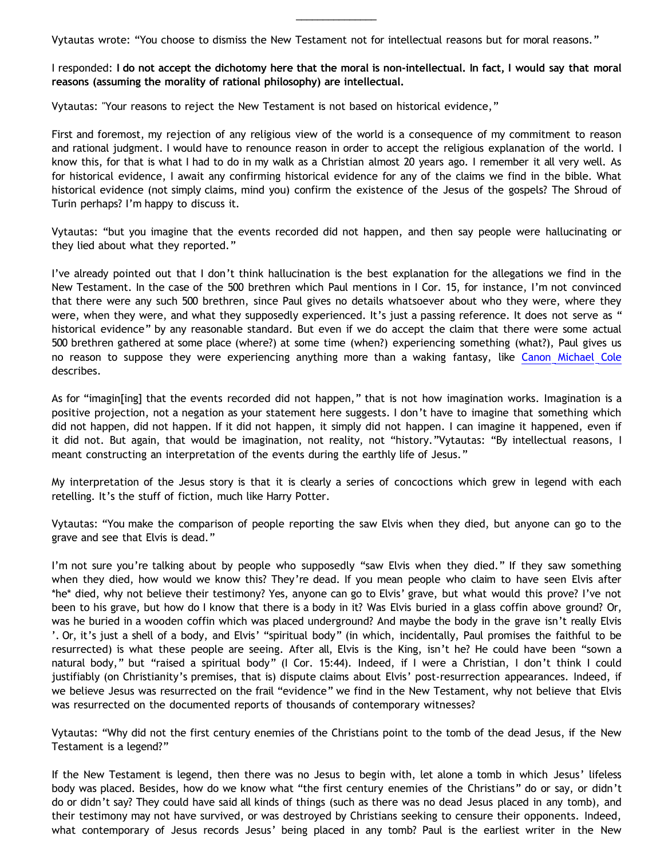Vytautas wrote: "You choose to dismiss the New Testament not for intellectual reasons but for moral reasons."

I responded: **I do not accept the dichotomy here that the moral is non-intellectual. In fact, I would say that moral reasons (assuming the morality of rational philosophy) are intellectual.**

\_\_\_\_\_\_\_\_\_\_\_\_\_\_\_

Vytautas: "Your reasons to reject the New Testament is not based on historical evidence,"

First and foremost, my rejection of any religious view of the world is a consequence of my commitment to reason and rational judgment. I would have to renounce reason in order to accept the religious explanation of the world. I know this, for that is what I had to do in my walk as a Christian almost 20 years ago. I remember it all very well. As for historical evidence, I await any confirming historical evidence for any of the claims we find in the bible. What historical evidence (not simply claims, mind you) confirm the existence of the Jesus of the gospels? The Shroud of Turin perhaps? I'm happy to discuss it.

Vytautas: "but you imagine that the events recorded did not happen, and then say people were hallucinating or they lied about what they reported."

I've already pointed out that I don't think hallucination is the best explanation for the allegations we find in the New Testament. In the case of the 500 brethren which Paul mentions in I Cor. 15, for instance, I'm not convinced that there were any such 500 brethren, since Paul gives no details whatsoever about who they were, where they were, when they were, and what they supposedly experienced. It's just a passing reference. It does not serve as " historical evidence" by any reasonable standard. But even if we do accept the claim that there were some actual 500 brethren gathered at some place (where?) at some time (when?) experiencing something (what?), Paul gives us no reason to suppose they were experiencing anything more than a waking fantasy, like [Canon Michael Cole](http://bahnsenburner.blogspot.com/2006/06/carr-vs-cole.html) describes.

As for "imagin[ing] that the events recorded did not happen," that is not how imagination works. Imagination is a positive projection, not a negation as your statement here suggests. I don't have to imagine that something which did not happen, did not happen. If it did not happen, it simply did not happen. I can imagine it happened, even if it did not. But again, that would be imagination, not reality, not "history."Vytautas: "By intellectual reasons, I meant constructing an interpretation of the events during the earthly life of Jesus."

My interpretation of the Jesus story is that it is clearly a series of concoctions which grew in legend with each retelling. It's the stuff of fiction, much like Harry Potter.

Vytautas: "You make the comparison of people reporting the saw Elvis when they died, but anyone can go to the grave and see that Elvis is dead."

I'm not sure you're talking about by people who supposedly "saw Elvis when they died." If they saw something when they died, how would we know this? They're dead. If you mean people who claim to have seen Elvis after \*he\* died, why not believe their testimony? Yes, anyone can go to Elvis' grave, but what would this prove? I've not been to his grave, but how do I know that there is a body in it? Was Elvis buried in a glass coffin above ground? Or, was he buried in a wooden coffin which was placed underground? And maybe the body in the grave isn't really Elvis '. Or, it's just a shell of a body, and Elvis' "spiritual body" (in which, incidentally, Paul promises the faithful to be resurrected) is what these people are seeing. After all, Elvis is the King, isn't he? He could have been "sown a natural body," but "raised a spiritual body" (I Cor. 15:44). Indeed, if I were a Christian, I don't think I could justifiably (on Christianity's premises, that is) dispute claims about Elvis' post-resurrection appearances. Indeed, if we believe Jesus was resurrected on the frail "evidence" we find in the New Testament, why not believe that Elvis was resurrected on the documented reports of thousands of contemporary witnesses?

Vytautas: "Why did not the first century enemies of the Christians point to the tomb of the dead Jesus, if the New Testament is a legend?"

If the New Testament is legend, then there was no Jesus to begin with, let alone a tomb in which Jesus' lifeless body was placed. Besides, how do we know what "the first century enemies of the Christians" do or say, or didn't do or didn't say? They could have said all kinds of things (such as there was no dead Jesus placed in any tomb), and their testimony may not have survived, or was destroyed by Christians seeking to censure their opponents. Indeed, what contemporary of Jesus records Jesus' being placed in any tomb? Paul is the earliest writer in the New